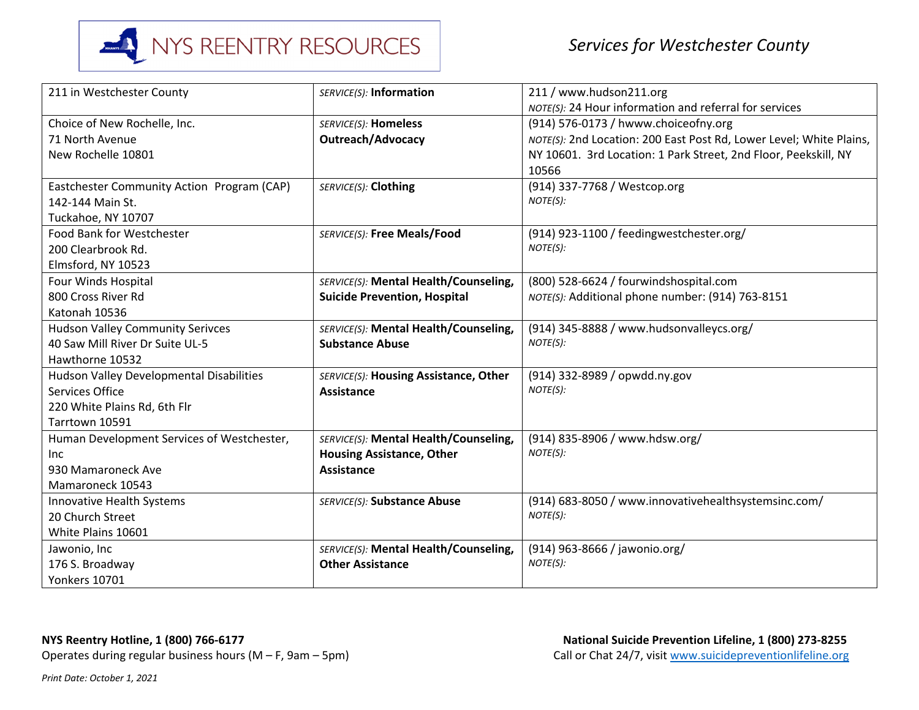

| 211 in Westchester County                       | SERVICE(S): Information               | 211 / www.hudson211.org                                             |
|-------------------------------------------------|---------------------------------------|---------------------------------------------------------------------|
|                                                 |                                       | NOTE(S): 24 Hour information and referral for services              |
| Choice of New Rochelle, Inc.                    | <b>SERVICE(S): Homeless</b>           | (914) 576-0173 / hwww.choiceofny.org                                |
| 71 North Avenue                                 | <b>Outreach/Advocacy</b>              | NOTE(S): 2nd Location: 200 East Post Rd, Lower Level; White Plains, |
| New Rochelle 10801                              |                                       | NY 10601. 3rd Location: 1 Park Street, 2nd Floor, Peekskill, NY     |
|                                                 |                                       | 10566                                                               |
| Eastchester Community Action Program (CAP)      | SERVICE(S): Clothing                  | (914) 337-7768 / Westcop.org                                        |
| 142-144 Main St.                                |                                       | NOTE(S):                                                            |
| Tuckahoe, NY 10707                              |                                       |                                                                     |
| <b>Food Bank for Westchester</b>                | SERVICE(S): Free Meals/Food           | (914) 923-1100 / feedingwestchester.org/                            |
| 200 Clearbrook Rd.                              |                                       | NOTE(S):                                                            |
| Elmsford, NY 10523                              |                                       |                                                                     |
| Four Winds Hospital                             | SERVICE(S): Mental Health/Counseling, | (800) 528-6624 / fourwindshospital.com                              |
| 800 Cross River Rd                              | <b>Suicide Prevention, Hospital</b>   | NOTE(S): Additional phone number: (914) 763-8151                    |
| Katonah 10536                                   |                                       |                                                                     |
| <b>Hudson Valley Community Serivces</b>         | SERVICE(S): Mental Health/Counseling, | (914) 345-8888 / www.hudsonvalleycs.org/                            |
| 40 Saw Mill River Dr Suite UL-5                 | <b>Substance Abuse</b>                | NOTE(S):                                                            |
| Hawthorne 10532                                 |                                       |                                                                     |
| <b>Hudson Valley Developmental Disabilities</b> | SERVICE(S): Housing Assistance, Other | (914) 332-8989 / opwdd.ny.gov                                       |
| Services Office                                 | <b>Assistance</b>                     | NOTE(S):                                                            |
| 220 White Plains Rd, 6th Flr                    |                                       |                                                                     |
| Tarrtown 10591                                  |                                       |                                                                     |
| Human Development Services of Westchester,      | SERVICE(S): Mental Health/Counseling, | (914) 835-8906 / www.hdsw.org/                                      |
| Inc                                             | <b>Housing Assistance, Other</b>      | NOTE(S):                                                            |
| 930 Mamaroneck Ave                              | <b>Assistance</b>                     |                                                                     |
| Mamaroneck 10543                                |                                       |                                                                     |
| Innovative Health Systems                       | SERVICE(S): Substance Abuse           | (914) 683-8050 / www.innovativehealthsystemsinc.com/                |
| 20 Church Street                                |                                       | NOTE(S):                                                            |
| White Plains 10601                              |                                       |                                                                     |
| Jawonio, Inc                                    | SERVICE(S): Mental Health/Counseling, | (914) 963-8666 / jawonio.org/                                       |
| 176 S. Broadway                                 | <b>Other Assistance</b>               | NOTE(S):                                                            |
| <b>Yonkers 10701</b>                            |                                       |                                                                     |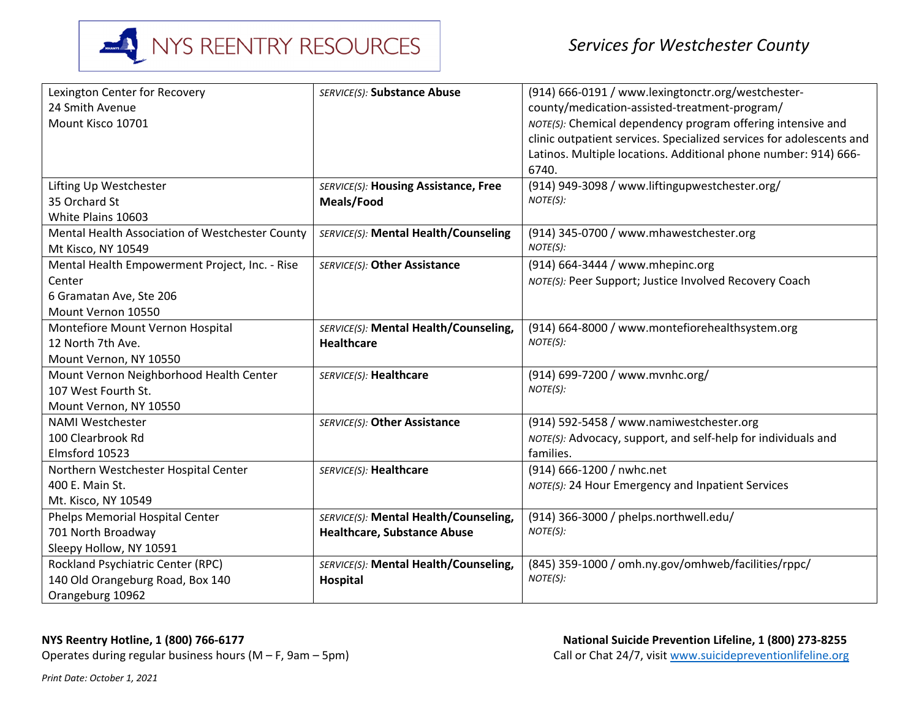

| Lexington Center for Recovery                   | SERVICE(S): Substance Abuse           | (914) 666-0191 / www.lexingtonctr.org/westchester-                   |
|-------------------------------------------------|---------------------------------------|----------------------------------------------------------------------|
| 24 Smith Avenue                                 |                                       | county/medication-assisted-treatment-program/                        |
| Mount Kisco 10701                               |                                       | NOTE(S): Chemical dependency program offering intensive and          |
|                                                 |                                       | clinic outpatient services. Specialized services for adolescents and |
|                                                 |                                       | Latinos. Multiple locations. Additional phone number: 914) 666-      |
|                                                 |                                       | 6740.                                                                |
| Lifting Up Westchester                          | SERVICE(S): Housing Assistance, Free  | (914) 949-3098 / www.liftingupwestchester.org/                       |
| 35 Orchard St                                   | Meals/Food                            | NOTE(S):                                                             |
| White Plains 10603                              |                                       |                                                                      |
| Mental Health Association of Westchester County | SERVICE(S): Mental Health/Counseling  | (914) 345-0700 / www.mhawestchester.org                              |
| Mt Kisco, NY 10549                              |                                       | NOTE(S):                                                             |
| Mental Health Empowerment Project, Inc. - Rise  | SERVICE(S): Other Assistance          | (914) 664-3444 / www.mhepinc.org                                     |
| Center                                          |                                       | NOTE(S): Peer Support; Justice Involved Recovery Coach               |
| 6 Gramatan Ave, Ste 206                         |                                       |                                                                      |
| Mount Vernon 10550                              |                                       |                                                                      |
| Montefiore Mount Vernon Hospital                | SERVICE(S): Mental Health/Counseling, | (914) 664-8000 / www.montefiorehealthsystem.org                      |
| 12 North 7th Ave.                               | <b>Healthcare</b>                     | NOTE(S):                                                             |
| Mount Vernon, NY 10550                          |                                       |                                                                      |
| Mount Vernon Neighborhood Health Center         | SERVICE(S): Healthcare                | (914) 699-7200 / www.mvnhc.org/                                      |
| 107 West Fourth St.                             |                                       | NOTE(S):                                                             |
| Mount Vernon, NY 10550                          |                                       |                                                                      |
| <b>NAMI Westchester</b>                         | SERVICE(S): Other Assistance          | (914) 592-5458 / www.namiwestchester.org                             |
| 100 Clearbrook Rd                               |                                       | NOTE(S): Advocacy, support, and self-help for individuals and        |
| Elmsford 10523                                  |                                       | families.                                                            |
| Northern Westchester Hospital Center            | SERVICE(S): Healthcare                | (914) 666-1200 / nwhc.net                                            |
| 400 E. Main St.                                 |                                       | NOTE(S): 24 Hour Emergency and Inpatient Services                    |
| Mt. Kisco, NY 10549                             |                                       |                                                                      |
| <b>Phelps Memorial Hospital Center</b>          | SERVICE(S): Mental Health/Counseling, | (914) 366-3000 / phelps.northwell.edu/                               |
| 701 North Broadway                              | <b>Healthcare, Substance Abuse</b>    | NOTE(S):                                                             |
| Sleepy Hollow, NY 10591                         |                                       |                                                                      |
| Rockland Psychiatric Center (RPC)               | SERVICE(S): Mental Health/Counseling, | (845) 359-1000 / omh.ny.gov/omhweb/facilities/rppc/                  |
| 140 Old Orangeburg Road, Box 140                | Hospital                              | NOTE(S):                                                             |
| Orangeburg 10962                                |                                       |                                                                      |

## **NYS Reentry Hotline, 1 (800) 766-6177**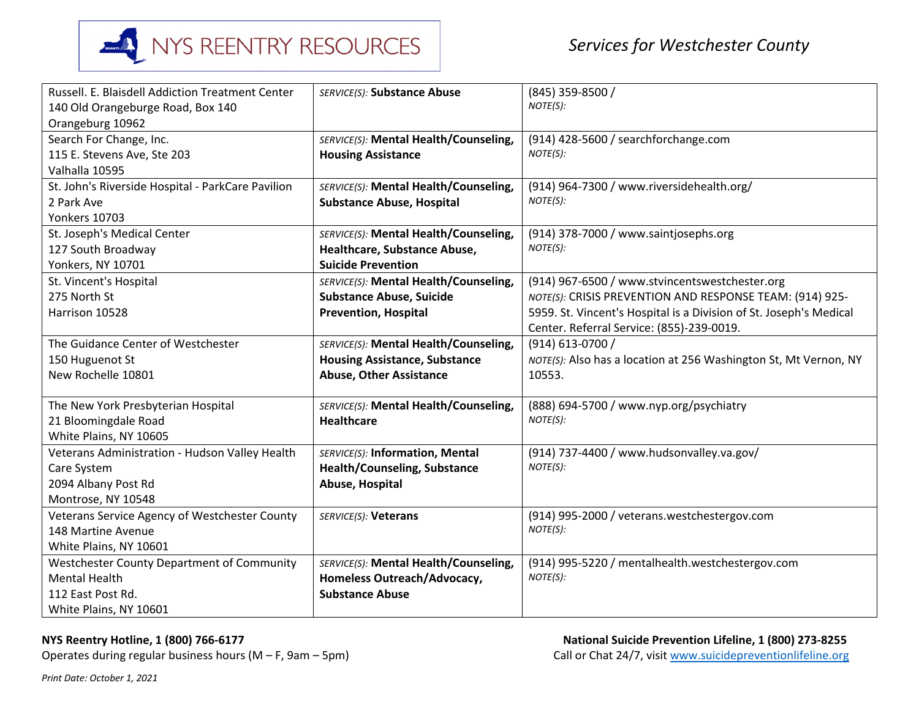

| Russell. E. Blaisdell Addiction Treatment Center  | SERVICE(S): Substance Abuse           | (845) 359-8500 /                                                   |
|---------------------------------------------------|---------------------------------------|--------------------------------------------------------------------|
| 140 Old Orangeburge Road, Box 140                 |                                       | NOTE(S):                                                           |
| Orangeburg 10962                                  |                                       |                                                                    |
| Search For Change, Inc.                           | SERVICE(S): Mental Health/Counseling, | (914) 428-5600 / searchforchange.com                               |
| 115 E. Stevens Ave, Ste 203                       | <b>Housing Assistance</b>             | NOTE(S):                                                           |
| Valhalla 10595                                    |                                       |                                                                    |
| St. John's Riverside Hospital - ParkCare Pavilion | SERVICE(S): Mental Health/Counseling, | (914) 964-7300 / www.riversidehealth.org/                          |
| 2 Park Ave                                        | <b>Substance Abuse, Hospital</b>      | NOTE(S):                                                           |
| <b>Yonkers 10703</b>                              |                                       |                                                                    |
| St. Joseph's Medical Center                       | SERVICE(S): Mental Health/Counseling, | (914) 378-7000 / www.saintjosephs.org                              |
| 127 South Broadway                                | Healthcare, Substance Abuse,          | NOTE(S):                                                           |
| Yonkers, NY 10701                                 | <b>Suicide Prevention</b>             |                                                                    |
| St. Vincent's Hospital                            | SERVICE(S): Mental Health/Counseling, | (914) 967-6500 / www.stvincentswestchester.org                     |
| 275 North St                                      | <b>Substance Abuse, Suicide</b>       | NOTE(S): CRISIS PREVENTION AND RESPONSE TEAM: (914) 925-           |
| Harrison 10528                                    | <b>Prevention, Hospital</b>           | 5959. St. Vincent's Hospital is a Division of St. Joseph's Medical |
|                                                   |                                       | Center. Referral Service: (855)-239-0019.                          |
| The Guidance Center of Westchester                | SERVICE(S): Mental Health/Counseling, | (914) 613-0700 /                                                   |
| 150 Huguenot St                                   | <b>Housing Assistance, Substance</b>  | NOTE(S): Also has a location at 256 Washington St, Mt Vernon, NY   |
| New Rochelle 10801                                | <b>Abuse, Other Assistance</b>        | 10553.                                                             |
|                                                   |                                       |                                                                    |
| The New York Presbyterian Hospital                | SERVICE(S): Mental Health/Counseling, | (888) 694-5700 / www.nyp.org/psychiatry                            |
| 21 Bloomingdale Road                              | <b>Healthcare</b>                     | NOTE(S):                                                           |
| White Plains, NY 10605                            |                                       |                                                                    |
| Veterans Administration - Hudson Valley Health    | SERVICE(S): Information, Mental       | (914) 737-4400 / www.hudsonvalley.va.gov/                          |
| Care System                                       | <b>Health/Counseling, Substance</b>   | NOTE(S):                                                           |
| 2094 Albany Post Rd                               | Abuse, Hospital                       |                                                                    |
| Montrose, NY 10548                                |                                       |                                                                    |
| Veterans Service Agency of Westchester County     | SERVICE(S): Veterans                  | (914) 995-2000 / veterans.westchestergov.com                       |
| 148 Martine Avenue                                |                                       | NOTE(S):                                                           |
| White Plains, NY 10601                            |                                       |                                                                    |
| <b>Westchester County Department of Community</b> | SERVICE(S): Mental Health/Counseling, | (914) 995-5220 / mentalhealth.westchestergov.com                   |
| <b>Mental Health</b>                              | Homeless Outreach/Advocacy,           | NOTE(S):                                                           |
| 112 East Post Rd.                                 | <b>Substance Abuse</b>                |                                                                    |
| White Plains, NY 10601                            |                                       |                                                                    |

**NYS Reentry Hotline, 1 (800) 766-6177**